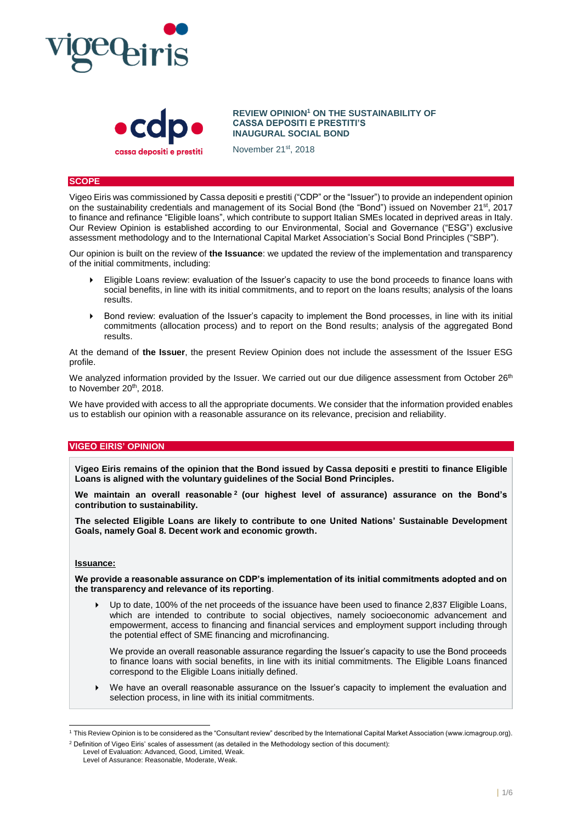



**REVIEW OPINION<sup>1</sup> ON THE SUSTAINABILITY OF CASSA DEPOSITI E PRESTITI'S INAUGURAL SOCIAL BOND**

November 21st, 2018

### **SCOPE**

Vigeo Eiris was commissioned by Cassa depositi e prestiti ("CDP" or the "Issuer") to provide an independent opinion on the sustainability credentials and management of its Social Bond (the "Bond") issued on November 21<sup>st</sup>, 2017 to finance and refinance "Eligible loans", which contribute to support Italian SMEs located in deprived areas in Italy. Our Review Opinion is established according to our Environmental, Social and Governance ("ESG") exclusive assessment methodology and to the International Capital Market Association's Social Bond Principles ("SBP").

Our opinion is built on the review of **the Issuance**: we updated the review of the implementation and transparency of the initial commitments, including:

- Eligible Loans review: evaluation of the Issuer's capacity to use the bond proceeds to finance loans with social benefits, in line with its initial commitments, and to report on the loans results; analysis of the loans results.
- **Bond review: evaluation of the Issuer's capacity to implement the Bond processes, in line with its initial** commitments (allocation process) and to report on the Bond results; analysis of the aggregated Bond results.

At the demand of **the Issuer**, the present Review Opinion does not include the assessment of the Issuer ESG profile.

We analyzed information provided by the Issuer. We carried out our due diligence assessment from October 26<sup>th</sup> to November 20<sup>th</sup>, 2018.

We have provided with access to all the appropriate documents. We consider that the information provided enables us to establish our opinion with a reasonable assurance on its relevance, precision and reliability.

## **VIGEO EIRIS' OPINION**

**Vigeo Eiris remains of the opinion that the Bond issued by Cassa depositi e prestiti to finance Eligible Loans is aligned with the voluntary guidelines of the Social Bond Principles.**

**We maintain an overall reasonable <sup>2</sup> (our highest level of assurance) assurance on the Bond's contribution to sustainability.**

**The selected Eligible Loans are likely to contribute to one United Nations' Sustainable Development Goals, namely Goal 8. Decent work and economic growth.**

## **Issuance:**

l

**We provide a reasonable assurance on CDP's implementation of its initial commitments adopted and on the transparency and relevance of its reporting**.

 Up to date, 100% of the net proceeds of the issuance have been used to finance 2,837 Eligible Loans, which are intended to contribute to social objectives, namely socioeconomic advancement and empowerment, access to financing and financial services and employment support including through the potential effect of SME financing and microfinancing.

We provide an overall reasonable assurance regarding the Issuer's capacity to use the Bond proceeds to finance loans with social benefits, in line with its initial commitments. The Eligible Loans financed correspond to the Eligible Loans initially defined.

 We have an overall reasonable assurance on the Issuer's capacity to implement the evaluation and selection process, in line with its initial commitments.

<sup>1</sup> This Review Opinion is to be considered as the "Consultant review" described by the International Capital Market Association (www.icmagroup.org). <sup>2</sup> Definition of Vigeo Eiris' scales of assessment (as detailed in the Methodology section of this document):

Level of Evaluation: Advanced, Good, Limited, Weak. Level of Assurance: Reasonable, Moderate, Weak.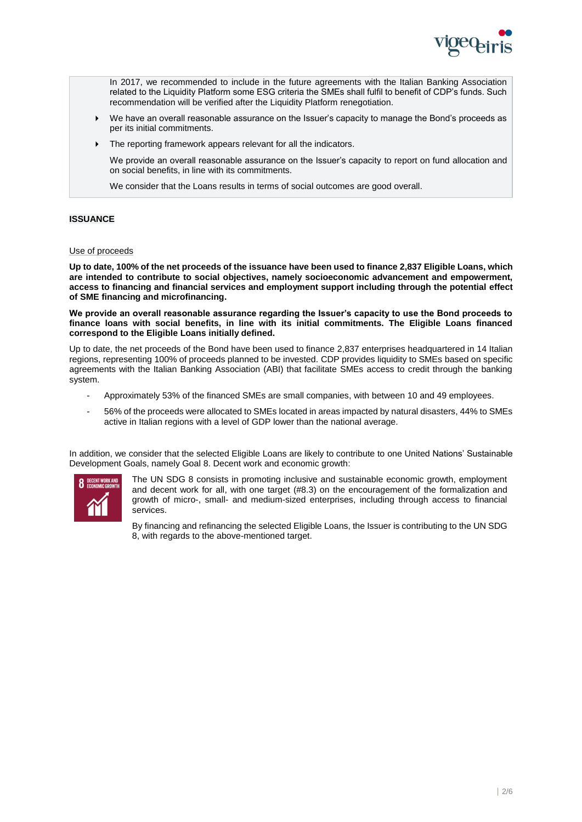

In 2017, we recommended to include in the future agreements with the Italian Banking Association related to the Liquidity Platform some ESG criteria the SMEs shall fulfil to benefit of CDP's funds. Such recommendation will be verified after the Liquidity Platform renegotiation.

- We have an overall reasonable assurance on the Issuer's capacity to manage the Bond's proceeds as per its initial commitments.
- The reporting framework appears relevant for all the indicators.

We provide an overall reasonable assurance on the Issuer's capacity to report on fund allocation and on social benefits, in line with its commitments.

We consider that the Loans results in terms of social outcomes are good overall.

## **ISSUANCE**

## Use of proceeds

**Up to date, 100% of the net proceeds of the issuance have been used to finance 2,837 Eligible Loans, which are intended to contribute to social objectives, namely socioeconomic advancement and empowerment, access to financing and financial services and employment support including through the potential effect of SME financing and microfinancing.** 

**We provide an overall reasonable assurance regarding the Issuer's capacity to use the Bond proceeds to finance loans with social benefits, in line with its initial commitments. The Eligible Loans financed correspond to the Eligible Loans initially defined.**

Up to date, the net proceeds of the Bond have been used to finance 2,837 enterprises headquartered in 14 Italian regions, representing 100% of proceeds planned to be invested. CDP provides liquidity to SMEs based on specific agreements with the Italian Banking Association (ABI) that facilitate SMEs access to credit through the banking system.

- Approximately 53% of the financed SMEs are small companies, with between 10 and 49 employees.
- 56% of the proceeds were allocated to SMEs located in areas impacted by natural disasters, 44% to SMEs active in Italian regions with a level of GDP lower than the national average.

In addition, we consider that the selected Eligible Loans are likely to contribute to one United Nations' Sustainable Development Goals, namely Goal 8. Decent work and economic growth:



The UN SDG 8 consists in promoting inclusive and sustainable economic growth, employment and decent work for all, with one target (#8.3) on the encouragement of the formalization and growth of micro-, small- and medium-sized enterprises, including through access to financial services.

By financing and refinancing the selected Eligible Loans, the Issuer is contributing to the UN SDG 8, with regards to the above-mentioned target.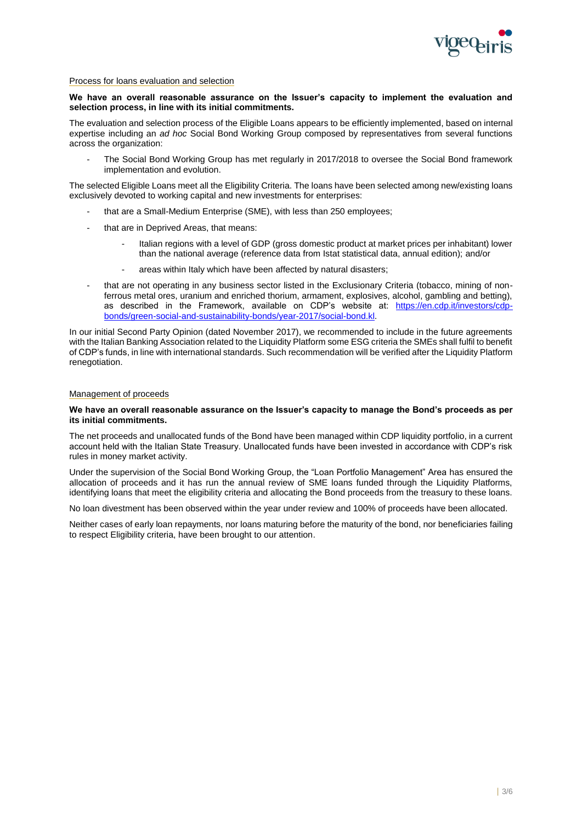

### Process for loans evaluation and selection

#### **We have an overall reasonable assurance on the Issuer's capacity to implement the evaluation and selection process, in line with its initial commitments.**

The evaluation and selection process of the Eligible Loans appears to be efficiently implemented, based on internal expertise including an *ad hoc* Social Bond Working Group composed by representatives from several functions across the organization:

The Social Bond Working Group has met regularly in 2017/2018 to oversee the Social Bond framework implementation and evolution.

The selected Eligible Loans meet all the Eligibility Criteria. The loans have been selected among new/existing loans exclusively devoted to working capital and new investments for enterprises:

- that are a Small-Medium Enterprise (SME), with less than 250 employees;
- that are in Deprived Areas, that means:
	- Italian regions with a level of GDP (gross domestic product at market prices per inhabitant) lower than the national average (reference data from Istat statistical data, annual edition); and/or
	- areas within Italy which have been affected by natural disasters;
- that are not operating in any business sector listed in the Exclusionary Criteria (tobacco, mining of nonferrous metal ores, uranium and enriched thorium, armament, explosives, alcohol, gambling and betting), as described in the Framework, available on CDP's website at: [https://en.cdp.it/investors/cdp](https://en.cdp.it/investors/cdp-bonds/green-social-and-sustainability-bonds/year-2017/social-bond.kl)[bonds/green-social-and-sustainability-bonds/year-2017/social-bond.kl.](https://en.cdp.it/investors/cdp-bonds/green-social-and-sustainability-bonds/year-2017/social-bond.kl)

In our initial Second Party Opinion (dated November 2017), we recommended to include in the future agreements with the Italian Banking Association related to the Liquidity Platform some ESG criteria the SMEs shall fulfil to benefit of CDP's funds, in line with international standards. Such recommendation will be verified after the Liquidity Platform renegotiation.

#### Management of proceeds

#### **We have an overall reasonable assurance on the Issuer's capacity to manage the Bond's proceeds as per its initial commitments.**

The net proceeds and unallocated funds of the Bond have been managed within CDP liquidity portfolio, in a current account held with the Italian State Treasury. Unallocated funds have been invested in accordance with CDP's risk rules in money market activity.

Under the supervision of the Social Bond Working Group, the "Loan Portfolio Management" Area has ensured the allocation of proceeds and it has run the annual review of SME loans funded through the Liquidity Platforms, identifying loans that meet the eligibility criteria and allocating the Bond proceeds from the treasury to these loans.

No loan divestment has been observed within the year under review and 100% of proceeds have been allocated.

Neither cases of early loan repayments, nor loans maturing before the maturity of the bond, nor beneficiaries failing to respect Eligibility criteria, have been brought to our attention.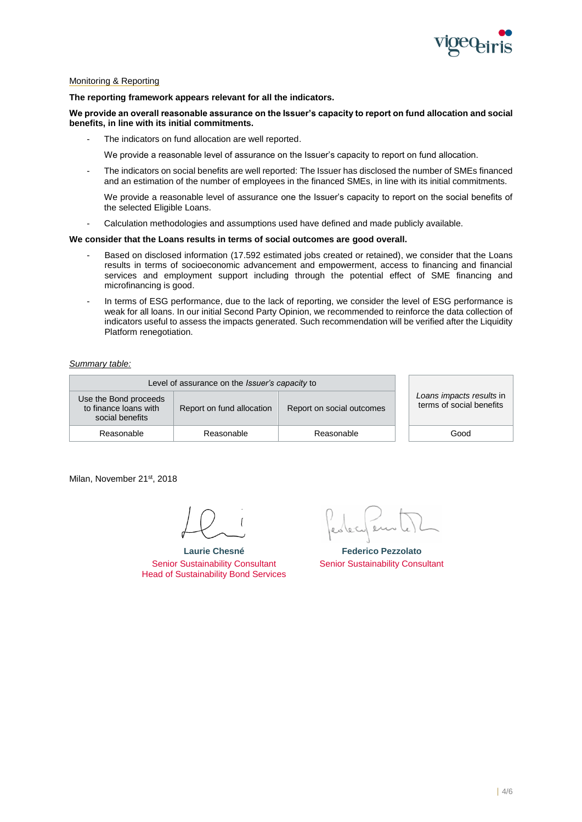

# Monitoring & Reporting

#### **The reporting framework appears relevant for all the indicators.**

**We provide an overall reasonable assurance on the Issuer's capacity to report on fund allocation and social benefits, in line with its initial commitments.**

The indicators on fund allocation are well reported.

We provide a reasonable level of assurance on the Issuer's capacity to report on fund allocation.

The indicators on social benefits are well reported: The Issuer has disclosed the number of SMEs financed and an estimation of the number of employees in the financed SMEs, in line with its initial commitments.

We provide a reasonable level of assurance one the Issuer's capacity to report on the social benefits of the selected Eligible Loans.

- Calculation methodologies and assumptions used have defined and made publicly available.

## **We consider that the Loans results in terms of social outcomes are good overall.**

- Based on disclosed information (17.592 estimated jobs created or retained), we consider that the Loans results in terms of socioeconomic advancement and empowerment, access to financing and financial services and employment support including through the potential effect of SME financing and microfinancing is good.
- In terms of ESG performance, due to the lack of reporting, we consider the level of ESG performance is weak for all loans. In our initial Second Party Opinion, we recommended to reinforce the data collection of indicators useful to assess the impacts generated. Such recommendation will be verified after the Liquidity Platform renegotiation.

#### *Summary table:*

| Level of assurance on the <i>Issuer's capacity</i> to             |                           |                           |                                                      |
|-------------------------------------------------------------------|---------------------------|---------------------------|------------------------------------------------------|
| Use the Bond proceeds<br>to finance loans with<br>social benefits | Report on fund allocation | Report on social outcomes | Loans impacts results in<br>terms of social benefits |
| Reasonable                                                        | Reasonable                | Reasonable                | Good                                                 |

Milan, November 21st, 2018

**Laurie Chesné** Senior Sustainability Consultant Head of Sustainability Bond Services

**Federico Pezzolato** Senior Sustainability Consultant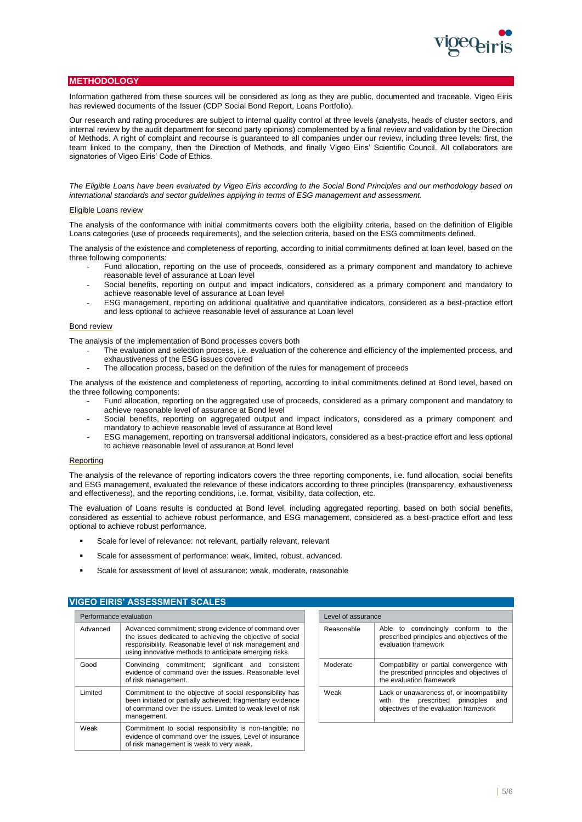# **METHODOLOGY**

Information gathered from these sources will be considered as long as they are public, documented and traceable. Vigeo Eiris has reviewed documents of the Issuer (CDP Social Bond Report, Loans Portfolio).

Our research and rating procedures are subject to internal quality control at three levels (analysts, heads of cluster sectors, and internal review by the audit department for second party opinions) complemented by a final review and validation by the Direction of Methods. A right of complaint and recourse is guaranteed to all companies under our review, including three levels: first, the team linked to the company, then the Direction of Methods, and finally Vigeo Eiris' Scientific Council. All collaborators are signatories of Vigeo Eiris' Code of Ethics.

*The Eligible Loans have been evaluated by Vigeo Eiris according to the Social Bond Principles and our methodology based on international standards and sector guidelines applying in terms of ESG management and assessment.*

#### Eligible Loans review

The analysis of the conformance with initial commitments covers both the eligibility criteria, based on the definition of Eligible Loans categories (use of proceeds requirements), and the selection criteria, based on the ESG commitments defined.

The analysis of the existence and completeness of reporting, according to initial commitments defined at loan level, based on the three following components:

- Fund allocation, reporting on the use of proceeds, considered as a primary component and mandatory to achieve reasonable level of assurance at Loan level
- Social benefits, reporting on output and impact indicators, considered as a primary component and mandatory to achieve reasonable level of assurance at Loan level
- ESG management, reporting on additional qualitative and quantitative indicators, considered as a best-practice effort and less optional to achieve reasonable level of assurance at Loan level

#### Bond review

The analysis of the implementation of Bond processes covers both

- The evaluation and selection process, i.e. evaluation of the coherence and efficiency of the implemented process, and exhaustiveness of the ESG issues covered
- The allocation process, based on the definition of the rules for management of proceeds

The analysis of the existence and completeness of reporting, according to initial commitments defined at Bond level, based on the three following components:

- Fund allocation, reporting on the aggregated use of proceeds, considered as a primary component and mandatory to achieve reasonable level of assurance at Bond level
- Social benefits, reporting on aggregated output and impact indicators, considered as a primary component and mandatory to achieve reasonable level of assurance at Bond level
- ESG management, reporting on transversal additional indicators, considered as a best-practice effort and less optional to achieve reasonable level of assurance at Bond level

#### Reporting

The analysis of the relevance of reporting indicators covers the three reporting components, i.e. fund allocation, social benefits and ESG management, evaluated the relevance of these indicators according to three principles (transparency, exhaustiveness and effectiveness), and the reporting conditions, i.e. format, visibility, data collection, etc.

The evaluation of Loans results is conducted at Bond level, including aggregated reporting, based on both social benefits, considered as essential to achieve robust performance, and ESG management, considered as a best-practice effort and less optional to achieve robust performance.

- Scale for level of relevance: not relevant, partially relevant, relevant
- Scale for assessment of performance: weak, limited, robust, advanced.
- Scale for assessment of level of assurance: weak, moderate, reasonable

# **VIGEO EIRIS' ASSESSMENT SCALES**

| Performance evaluation |                                                                                                                                                                                                                                        |  | Level of assurance |  |
|------------------------|----------------------------------------------------------------------------------------------------------------------------------------------------------------------------------------------------------------------------------------|--|--------------------|--|
| Advanced               | Advanced commitment; strong evidence of command over<br>the issues dedicated to achieving the objective of social<br>responsibility. Reasonable level of risk management and<br>using innovative methods to anticipate emerging risks. |  | Reasonable         |  |
| Good                   | Convincing commitment; significant and consistent<br>evidence of command over the issues. Reasonable level<br>of risk management.                                                                                                      |  | Moderate           |  |
| Limited                | Commitment to the objective of social responsibility has<br>been initiated or partially achieved; fragmentary evidence<br>of command over the issues. Limited to weak level of risk<br>management.                                     |  | Weak               |  |
| Weak                   | Commitment to social responsibility is non-tangible; no<br>evidence of command over the issues. Level of insurance<br>of risk management is weak to very weak.                                                                         |  |                    |  |

| Level of assurance |                                                                                                                            |  |  |  |
|--------------------|----------------------------------------------------------------------------------------------------------------------------|--|--|--|
| Reasonable         | Able to convincingly conform to the<br>prescribed principles and objectives of the<br>evaluation framework                 |  |  |  |
| Moderate           | Compatibility or partial convergence with<br>the prescribed principles and objectives of<br>the evaluation framework       |  |  |  |
| Weak               | Lack or unawareness of, or incompatibility<br>with the prescribed principles and<br>objectives of the evaluation framework |  |  |  |